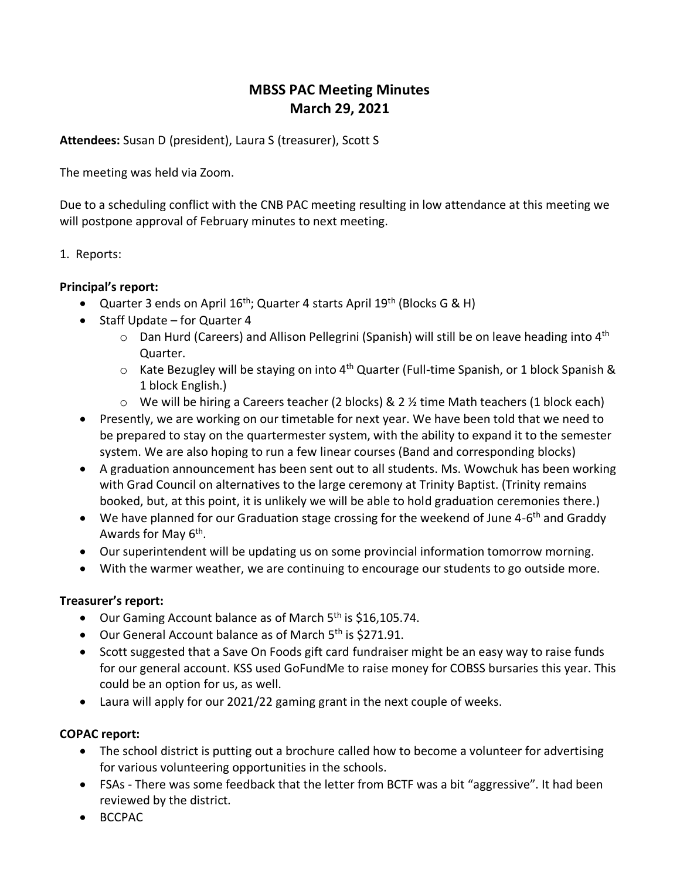# **MBSS PAC Meeting Minutes March 29, 2021**

**Attendees:** Susan D (president), Laura S (treasurer), Scott S

The meeting was held via Zoom.

Due to a scheduling conflict with the CNB PAC meeting resulting in low attendance at this meeting we will postpone approval of February minutes to next meeting.

## 1. Reports:

## **Principal's report:**

- Quarter 3 ends on April  $16^{th}$ ; Quarter 4 starts April  $19^{th}$  (Blocks G & H)
- Staff Update for Quarter 4
	- $\circ$  Dan Hurd (Careers) and Allison Pellegrini (Spanish) will still be on leave heading into 4<sup>th</sup> Quarter.
	- $\circ$  Kate Bezugley will be staying on into 4<sup>th</sup> Quarter (Full-time Spanish, or 1 block Spanish & 1 block English.)
	- o We will be hiring a Careers teacher (2 blocks) & 2 ½ time Math teachers (1 block each)
- Presently, we are working on our timetable for next year. We have been told that we need to be prepared to stay on the quartermester system, with the ability to expand it to the semester system. We are also hoping to run a few linear courses (Band and corresponding blocks)
- A graduation announcement has been sent out to all students. Ms. Wowchuk has been working with Grad Council on alternatives to the large ceremony at Trinity Baptist. (Trinity remains booked, but, at this point, it is unlikely we will be able to hold graduation ceremonies there.)
- We have planned for our Graduation stage crossing for the weekend of June 4-6<sup>th</sup> and Graddy Awards for May 6<sup>th</sup>.
- Our superintendent will be updating us on some provincial information tomorrow morning.
- With the warmer weather, we are continuing to encourage our students to go outside more.

#### **Treasurer's report:**

- Our Gaming Account balance as of March  $5<sup>th</sup>$  is \$16,105.74.
- Our General Account balance as of March 5<sup>th</sup> is \$271.91.
- Scott suggested that a Save On Foods gift card fundraiser might be an easy way to raise funds for our general account. KSS used GoFundMe to raise money for COBSS bursaries this year. This could be an option for us, as well.
- Laura will apply for our 2021/22 gaming grant in the next couple of weeks.

# **COPAC report:**

- The school district is putting out a brochure called how to become a volunteer for advertising for various volunteering opportunities in the schools.
- FSAs There was some feedback that the letter from BCTF was a bit "aggressive". It had been reviewed by the district.
- BCCPAC